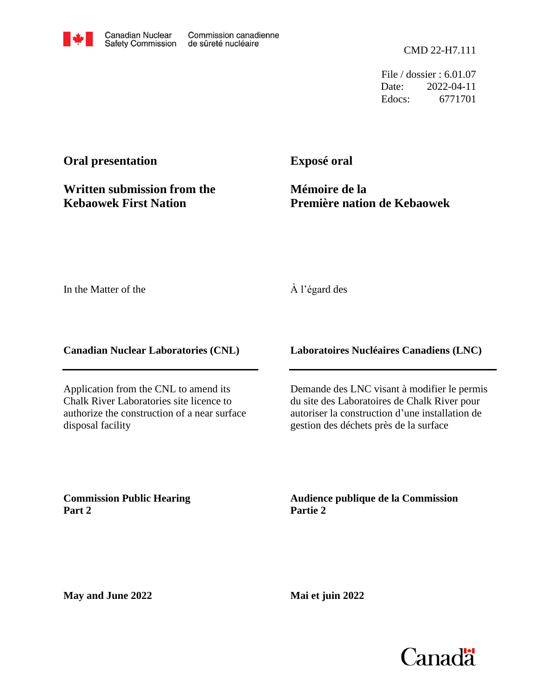CMD 22-H7.111

File / dossier : 6.01.07 Date: 2022-04-11 Edocs: 6771701

# **Oral presentation**

**Written submission from the Kebaowek First Nation**

**Exposé oral**

**Mémoire de la Première nation de Kebaowek**

In the Matter of the

## À l'égard des

**Canadian Nuclear Laboratories (CNL)**

Application from the CNL to amend its Chalk River Laboratories site licence to authorize the construction of a near surface disposal facility

**Laboratoires Nucléaires Canadiens (LNC)**

Demande des LNC visant à modifier le permis du site des Laboratoires de Chalk River pour autoriser la construction d'une installation de gestion des déchets près de la surface

**Commission Public Hearing Part 2**

**Audience publique de la Commission Partie 2**

**May and June 2022**

**Mai et juin 2022**

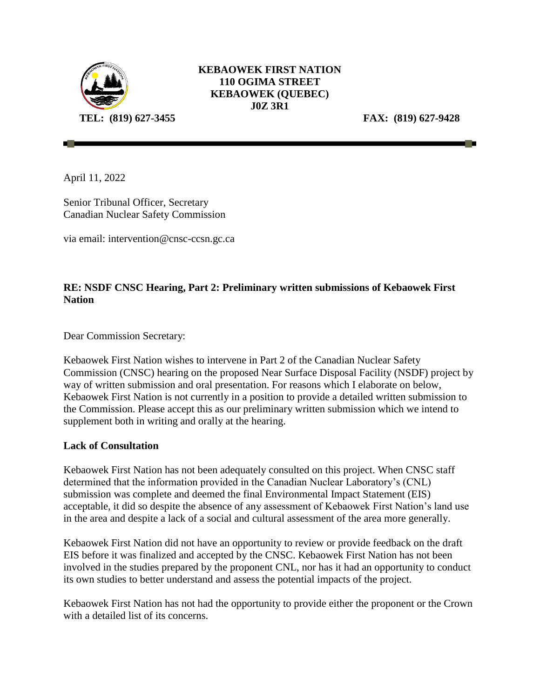

## **KEBAOWEK FIRST NATION 110 OGIMA STREET KEBAOWEK (QUEBEC) J0Z 3R1**

April 11, 2022

Senior Tribunal Officer, Secretary Canadian Nuclear Safety Commission

via email: intervention@cnsc-ccsn.gc.ca

## **RE: NSDF CNSC Hearing, Part 2: Preliminary written submissions of Kebaowek First Nation**

Dear Commission Secretary:

Kebaowek First Nation wishes to intervene in Part 2 of the Canadian Nuclear Safety Commission (CNSC) hearing on the proposed Near Surface Disposal Facility (NSDF) project by way of written submission and oral presentation. For reasons which I elaborate on below, Kebaowek First Nation is not currently in a position to provide a detailed written submission to the Commission. Please accept this as our preliminary written submission which we intend to supplement both in writing and orally at the hearing.

### **Lack of Consultation**

Kebaowek First Nation has not been adequately consulted on this project. When CNSC staff determined that the information provided in the Canadian Nuclear Laboratory's (CNL) submission was complete and deemed the final Environmental Impact Statement (EIS) acceptable, it did so despite the absence of any assessment of Kebaowek First Nation's land use in the area and despite a lack of a social and cultural assessment of the area more generally.

Kebaowek First Nation did not have an opportunity to review or provide feedback on the draft EIS before it was finalized and accepted by the CNSC. Kebaowek First Nation has not been involved in the studies prepared by the proponent CNL, nor has it had an opportunity to conduct its own studies to better understand and assess the potential impacts of the project.

Kebaowek First Nation has not had the opportunity to provide either the proponent or the Crown with a detailed list of its concerns.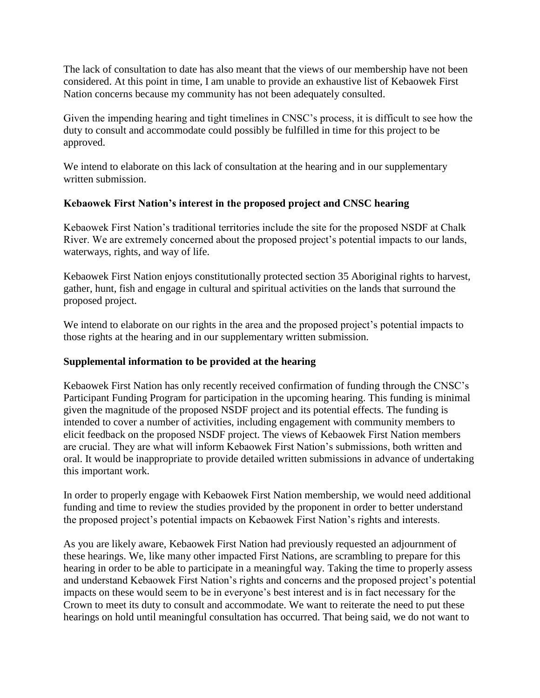The lack of consultation to date has also meant that the views of our membership have not been considered. At this point in time, I am unable to provide an exhaustive list of Kebaowek First Nation concerns because my community has not been adequately consulted.

Given the impending hearing and tight timelines in CNSC's process, it is difficult to see how the duty to consult and accommodate could possibly be fulfilled in time for this project to be approved.

We intend to elaborate on this lack of consultation at the hearing and in our supplementary written submission.

### **Kebaowek First Nation's interest in the proposed project and CNSC hearing**

Kebaowek First Nation's traditional territories include the site for the proposed NSDF at Chalk River. We are extremely concerned about the proposed project's potential impacts to our lands, waterways, rights, and way of life.

Kebaowek First Nation enjoys constitutionally protected section 35 Aboriginal rights to harvest, gather, hunt, fish and engage in cultural and spiritual activities on the lands that surround the proposed project.

We intend to elaborate on our rights in the area and the proposed project's potential impacts to those rights at the hearing and in our supplementary written submission.

### **Supplemental information to be provided at the hearing**

Kebaowek First Nation has only recently received confirmation of funding through the CNSC's Participant Funding Program for participation in the upcoming hearing. This funding is minimal given the magnitude of the proposed NSDF project and its potential effects. The funding is intended to cover a number of activities, including engagement with community members to elicit feedback on the proposed NSDF project. The views of Kebaowek First Nation members are crucial. They are what will inform Kebaowek First Nation's submissions, both written and oral. It would be inappropriate to provide detailed written submissions in advance of undertaking this important work.

In order to properly engage with Kebaowek First Nation membership, we would need additional funding and time to review the studies provided by the proponent in order to better understand the proposed project's potential impacts on Kebaowek First Nation's rights and interests.

As you are likely aware, Kebaowek First Nation had previously requested an adjournment of these hearings. We, like many other impacted First Nations, are scrambling to prepare for this hearing in order to be able to participate in a meaningful way. Taking the time to properly assess and understand Kebaowek First Nation's rights and concerns and the proposed project's potential impacts on these would seem to be in everyone's best interest and is in fact necessary for the Crown to meet its duty to consult and accommodate. We want to reiterate the need to put these hearings on hold until meaningful consultation has occurred. That being said, we do not want to